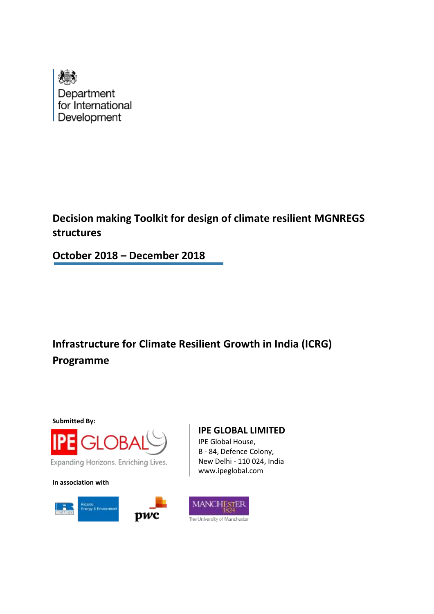

**Decision making Toolkit for design of climate resilient MGNREGS structures**

**October 2018 – December 2018**

**Infrastructure for Climate Resilient Growth in India (ICRG) Programme**

**Submitted By:**



Expanding Horizons. Enriching Lives.

**In association with**



#### **IPE GLOBAL LIMITED**

IPE Global House, B - 84, Defence Colony, New Delhi - 110 024, India www.ipeglobal.com

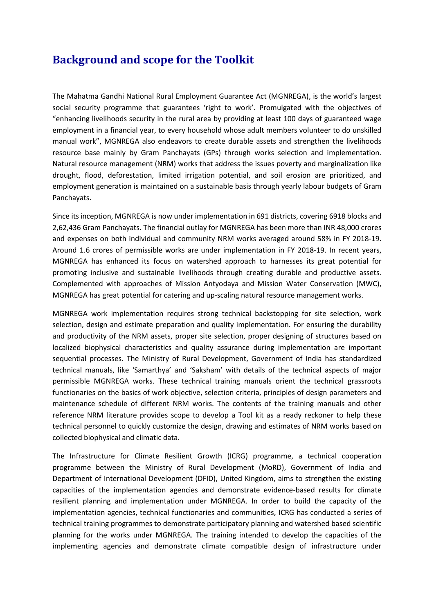# **Background and scope for the Toolkit**

The Mahatma Gandhi National Rural Employment Guarantee Act (MGNREGA), is the world's largest social security programme that guarantees 'right to work'. Promulgated with the objectives of "enhancing livelihoods security in the rural area by providing at least 100 days of guaranteed wage employment in a financial year, to every household whose adult members volunteer to do unskilled manual work", MGNREGA also endeavors to create durable assets and strengthen the livelihoods resource base mainly by Gram Panchayats (GPs) through works selection and implementation. Natural resource management (NRM) works that address the issues poverty and marginalization like drought, flood, deforestation, limited irrigation potential, and soil erosion are prioritized, and employment generation is maintained on a sustainable basis through yearly labour budgets of Gram Panchayats.

Since its inception, MGNREGA is now under implementation in 691 districts, covering 6918 blocks and 2,62,436 Gram Panchayats. The financial outlay for MGNREGA has been more than INR 48,000 crores and expenses on both individual and community NRM works averaged around 58% in FY 2018-19. Around 1.6 crores of permissible works are under implementation in FY 2018-19. In recent years, MGNREGA has enhanced its focus on watershed approach to harnesses its great potential for promoting inclusive and sustainable livelihoods through creating durable and productive assets. Complemented with approaches of Mission Antyodaya and Mission Water Conservation (MWC), MGNREGA has great potential for catering and up-scaling natural resource management works.

MGNREGA work implementation requires strong technical backstopping for site selection, work selection, design and estimate preparation and quality implementation. For ensuring the durability and productivity of the NRM assets, proper site selection, proper designing of structures based on localized biophysical characteristics and quality assurance during implementation are important sequential processes. The Ministry of Rural Development, Government of India has standardized technical manuals, like 'Samarthya' and 'Saksham' with details of the technical aspects of major permissible MGNREGA works. These technical training manuals orient the technical grassroots functionaries on the basics of work objective, selection criteria, principles of design parameters and maintenance schedule of different NRM works. The contents of the training manuals and other reference NRM literature provides scope to develop a Tool kit as a ready reckoner to help these technical personnel to quickly customize the design, drawing and estimates of NRM works based on collected biophysical and climatic data.

The Infrastructure for Climate Resilient Growth (ICRG) programme, a technical cooperation programme between the Ministry of Rural Development (MoRD), Government of India and Department of International Development (DFID), United Kingdom, aims to strengthen the existing capacities of the implementation agencies and demonstrate evidence-based results for climate resilient planning and implementation under MGNREGA. In order to build the capacity of the implementation agencies, technical functionaries and communities, ICRG has conducted a series of technical training programmes to demonstrate participatory planning and watershed based scientific planning for the works under MGNREGA. The training intended to develop the capacities of the implementing agencies and demonstrate climate compatible design of infrastructure under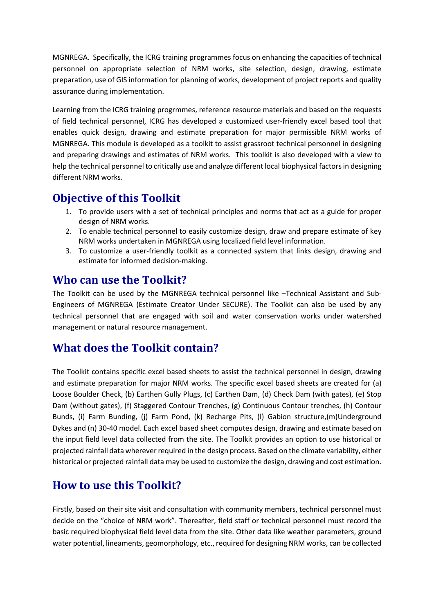MGNREGA. Specifically, the ICRG training programmes focus on enhancing the capacities of technical personnel on appropriate selection of NRM works, site selection, design, drawing, estimate preparation, use of GIS information for planning of works, development of project reports and quality assurance during implementation.

Learning from the ICRG training progrmmes, reference resource materials and based on the requests of field technical personnel, ICRG has developed a customized user-friendly excel based tool that enables quick design, drawing and estimate preparation for major permissible NRM works of MGNREGA. This module is developed as a toolkit to assist grassroot technical personnel in designing and preparing drawings and estimates of NRM works. This toolkit is also developed with a view to help the technical personnel to critically use and analyze different local biophysical factors in designing different NRM works.

## **Objective of this Toolkit**

- 1. To provide users with a set of technical principles and norms that act as a guide for proper design of NRM works.
- 2. To enable technical personnel to easily customize design, draw and prepare estimate of key NRM works undertaken in MGNREGA using localized field level information.
- 3. To customize a user-friendly toolkit as a connected system that links design, drawing and estimate for informed decision-making.

### **Who can use the Toolkit?**

The Toolkit can be used by the MGNREGA technical personnel like –Technical Assistant and Sub-Engineers of MGNREGA (Estimate Creator Under SECURE). The Toolkit can also be used by any technical personnel that are engaged with soil and water conservation works under watershed management or natural resource management.

### **What does the Toolkit contain?**

The Toolkit contains specific excel based sheets to assist the technical personnel in design, drawing and estimate preparation for major NRM works. The specific excel based sheets are created for (a) Loose Boulder Check, (b) Earthen Gully Plugs, (c) Earthen Dam, (d) Check Dam (with gates), (e) Stop Dam (without gates), (f) Staggered Contour Trenches, (g) Continuous Contour trenches, (h) Contour Bunds, (i) Farm Bunding, (j) Farm Pond, (k) Recharge Pits, (l) Gabion structure,(m)Underground Dykes and (n) 30-40 model. Each excel based sheet computes design, drawing and estimate based on the input field level data collected from the site. The Toolkit provides an option to use historical or projected rainfall data wherever required in the design process. Based on the climate variability, either historical or projected rainfall data may be used to customize the design, drawing and cost estimation.

# **How to use this Toolkit?**

Firstly, based on their site visit and consultation with community members, technical personnel must decide on the "choice of NRM work". Thereafter, field staff or technical personnel must record the basic required biophysical field level data from the site. Other data like weather parameters, ground water potential, lineaments, geomorphology, etc., required for designing NRM works, can be collected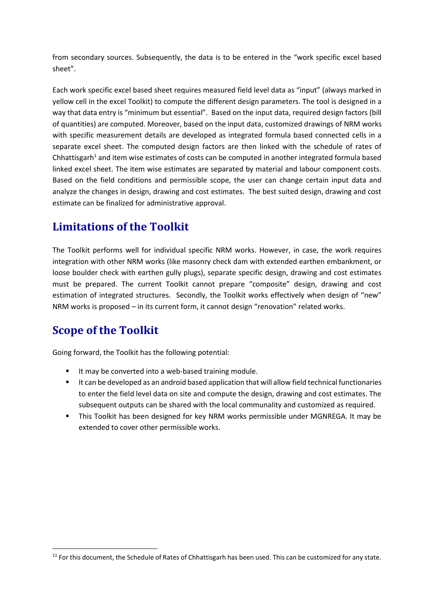from secondary sources. Subsequently, the data is to be entered in the "work specific excel based sheet".

Each work specific excel based sheet requires measured field level data as "input" (always marked in yellow cell in the excel Toolkit) to compute the different design parameters. The tool is designed in a way that data entry is "minimum but essential". Based on the input data, required design factors (bill of quantities) are computed. Moreover, based on the input data, customized drawings of NRM works with specific measurement details are developed as integrated formula based connected cells in a separate excel sheet. The computed design factors are then linked with the schedule of rates of Chhattisgarh<sup>1</sup> and item wise estimates of costs can be computed in another integrated formula based linked excel sheet. The item wise estimates are separated by material and labour component costs. Based on the field conditions and permissible scope, the user can change certain input data and analyze the changes in design, drawing and cost estimates. The best suited design, drawing and cost estimate can be finalized for administrative approval.

# **Limitations of the Toolkit**

The Toolkit performs well for individual specific NRM works. However, in case, the work requires integration with other NRM works (like masonry check dam with extended earthen embankment, or loose boulder check with earthen gully plugs), separate specific design, drawing and cost estimates must be prepared. The current Toolkit cannot prepare "composite" design, drawing and cost estimation of integrated structures. Secondly, the Toolkit works effectively when design of "new" NRM works is proposed – in its current form, it cannot design "renovation" related works.

# **Scope of the Toolkit**

**.** 

Going forward, the Toolkit has the following potential:

- It may be converted into a web-based training module.
- It can be developed as an android based application that will allow field technical functionaries to enter the field level data on site and compute the design, drawing and cost estimates. The subsequent outputs can be shared with the local communality and customized as required.
- This Toolkit has been designed for key NRM works permissible under MGNREGA. It may be extended to cover other permissible works.

<sup>&</sup>lt;sup>11</sup> For this document, the Schedule of Rates of Chhattisgarh has been used. This can be customized for any state.